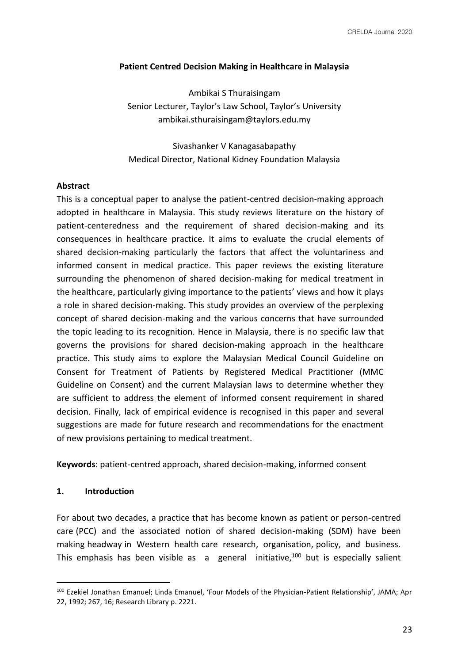### **Patient Centred Decision Making in Healthcare in Malaysia**

Ambikai S Thuraisingam Senior Lecturer, Taylor's Law School, Taylor's University ambikai.sthuraisingam@taylors.edu.my

Sivashanker V Kanagasabapathy Medical Director, National Kidney Foundation Malaysia

#### **Abstract**

This is a conceptual paper to analyse the patient-centred decision-making approach adopted in healthcare in Malaysia. This study reviews literature on the history of patient-centeredness and the requirement of shared decision-making and its consequences in healthcare practice. It aims to evaluate the crucial elements of shared decision-making particularly the factors that affect the voluntariness and informed consent in medical practice. This paper reviews the existing literature surrounding the phenomenon of shared decision-making for medical treatment in the healthcare, particularly giving importance to the patients' views and how it plays a role in shared decision-making. This study provides an overview of the perplexing concept of shared decision-making and the various concerns that have surrounded the topic leading to its recognition. Hence in Malaysia, there is no specific law that governs the provisions for shared decision-making approach in the healthcare practice. This study aims to explore the Malaysian Medical Council Guideline on Consent for Treatment of Patients by Registered Medical Practitioner (MMC Guideline on Consent) and the current Malaysian laws to determine whether they are sufficient to address the element of informed consent requirement in shared decision. Finally, lack of empirical evidence is recognised in this paper and several suggestions are made for future research and recommendations for the enactment of new provisions pertaining to medical treatment.

**Keywords**: patient-centred approach, shared decision-making, informed consent

#### **1. Introduction**

For about two decades, a practice that has become known as patient or person-centred care (PCC) and the associated notion of shared decision-making (SDM) have been making headway in Western health care research, organisation, policy, and business. This emphasis has been visible as  $a$  general initiative,<sup>100</sup> but is especially salient

<sup>100</sup> Ezekiel Jonathan Emanuel; Linda Emanuel, 'Four Models of the Physician-Patient Relationship', JAMA; Apr 22, 1992; 267, 16; Research Library p. 2221.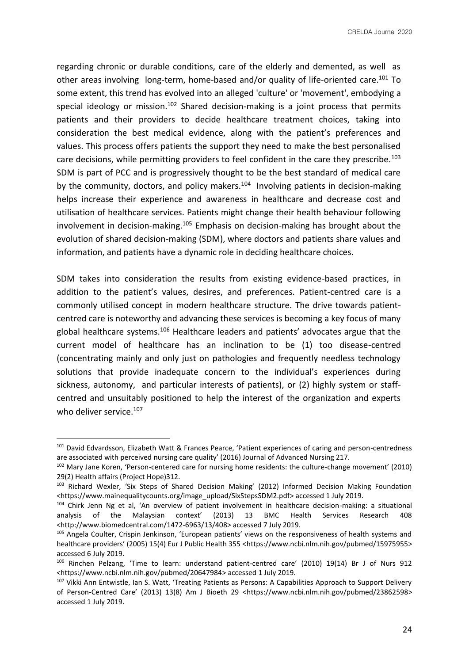regarding chronic or durable conditions, care of the elderly and demented, as well as other areas involving long-term, home-based and/or quality of life-oriented care.<sup>101</sup> To some extent, this trend has evolved into an alleged 'culture' or 'movement', embodying a special ideology or mission.<sup>102</sup> Shared decision-making is a joint process that permits patients and their providers to decide healthcare treatment choices, taking into consideration the best medical evidence, along with the patient's preferences and values. This process offers patients the support they need to make the best personalised care decisions, while permitting providers to feel confident in the care they prescribe.<sup>103</sup> SDM is part of PCC and is progressively thought to be the best standard of medical care by the community, doctors, and policy makers.<sup>104</sup> Involving patients in decision-making helps increase their experience and awareness in healthcare and decrease cost and utilisation of healthcare services. Patients might change their health behaviour following involvement in decision-making.<sup>105</sup> Emphasis on decision-making has brought about the evolution of shared decision-making (SDM), where doctors and patients share values and information, and patients have a dynamic role in deciding healthcare choices.

SDM takes into consideration the results from existing evidence-based practices, in addition to the patient's values, desires, and preferences. Patient-centred care is a commonly utilised concept in modern healthcare structure. The drive towards patientcentred care is noteworthy and advancing these services is becoming a key focus of many global healthcare systems.<sup>106</sup> Healthcare leaders and patients' advocates argue that the current model of healthcare has an inclination to be (1) too disease-centred (concentrating mainly and only just on pathologies and frequently needless technology solutions that provide inadequate concern to the individual's experiences during sickness, autonomy, and particular interests of patients), or (2) highly system or staffcentred and unsuitably positioned to help the interest of the organization and experts who deliver service.<sup>107</sup>

<sup>101</sup> David Edvardsson, Elizabeth Watt & Frances Pearce, 'Patient experiences of caring and person-centredness are associated with perceived nursing care quality' (2016) Journal of Advanced Nursing 217.

<sup>102</sup> Mary Jane Koren, 'Person-centered care for nursing home residents: the culture-change movement' (2010) 29(2) Health affairs (Project Hope)312.

<sup>103</sup> Richard Wexler, 'Six Steps of Shared Decision Making' (2012) Informed Decision Making Foundation <https://www.mainequalitycounts.org/image\_upload/SixStepsSDM2.pdf> accessed 1 July 2019.

<sup>104</sup> Chirk Jenn Ng et al, 'An overview of patient involvement in healthcare decision-making: a situational analysis of the Malaysian context' (2013) 13 BMC Health Services Research 408 <http://www.biomedcentral.com/1472-6963/13/408> accessed 7 July 2019.

<sup>105</sup> Angela Coulter, Crispin Jenkinson, 'European patients' views on the responsiveness of health systems and healthcare providers' (2005) 15(4) Eur J Public Health 355 <https://www.ncbi.nlm.nih.gov/pubmed/15975955> accessed 6 July 2019.

<sup>106</sup> Rinchen Pelzang, 'Time to learn: understand patient-centred care' (2010) 19(14) Br J of Nurs 912 <https://www.ncbi.nlm.nih.gov/pubmed/20647984> accessed 1 July 2019.

<sup>107</sup> Vikki Ann Entwistle, Ian S. Watt, 'Treating Patients as Persons: A Capabilities Approach to Support Delivery of Person-Centred Care' (2013) 13(8) Am J Bioeth 29 <https://www.ncbi.nlm.nih.gov/pubmed/23862598> accessed 1 July 2019.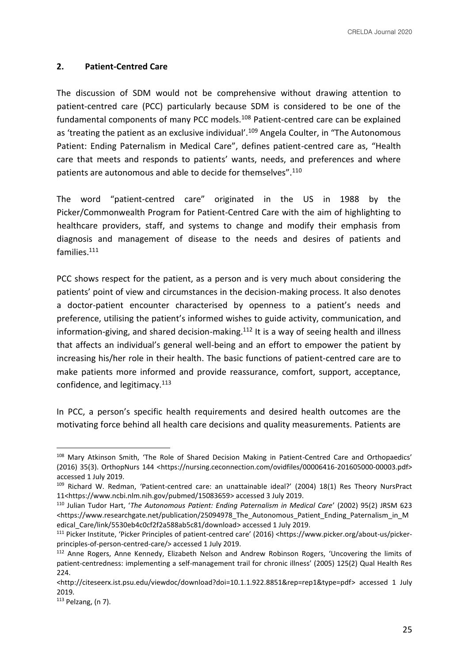### **2. Patient-Centred Care**

The discussion of SDM would not be comprehensive without drawing attention to patient-centred care (PCC) particularly because SDM is considered to be one of the fundamental components of many PCC models.<sup>108</sup> Patient-centred care can be explained as 'treating the patient as an exclusive individual'.<sup>109</sup> Angela Coulter, in "The Autonomous Patient: Ending Paternalism in Medical Care", defines patient-centred care as, "Health care that meets and responds to patients' wants, needs, and preferences and where patients are autonomous and able to decide for themselves".<sup>110</sup>

The word "patient-centred care" originated in the US in 1988 by the Picker/Commonwealth Program for Patient-Centred Care with the aim of highlighting to healthcare providers, staff, and systems to change and modify their emphasis from diagnosis and management of disease to the needs and desires of patients and families.<sup>111</sup>

PCC shows respect for the patient, as a person and is very much about considering the patients' point of view and circumstances in the decision-making process. It also denotes a doctor-patient encounter characterised by openness to a patient's needs and preference, utilising the patient's informed wishes to guide activity, communication, and information-giving, and shared decision-making.<sup>112</sup> It is a way of seeing health and illness that affects an individual's general well-being and an effort to empower the patient by increasing his/her role in their health. The basic functions of patient-centred care are to make patients more informed and provide reassurance, comfort, support, acceptance, confidence, and legitimacy.<sup>113</sup>

In PCC, a person's specific health requirements and desired health outcomes are the motivating force behind all health care decisions and quality measurements. Patients are

<sup>108</sup> Mary Atkinson Smith, 'The Role of Shared Decision Making in Patient-Centred Care and Orthopaedics' (2016) 35(3). OrthopNurs 144 <https://nursing.ceconnection.com/ovidfiles/00006416-201605000-00003.pdf> accessed 1 July 2019.

<sup>109</sup> Richard W. Redman, 'Patient-centred care: an unattainable ideal?' (2004) 18(1) Res Theory NursPract 11<https://www.ncbi.nlm.nih.gov/pubmed/15083659> accessed 3 July 2019.

<sup>110</sup> Julian Tudor Hart, '*The Autonomous Patient: Ending Paternalism in Medical Care*' (2002) 95(2) JRSM 623 <https://www.researchgate.net/publication/25094978\_The\_Autonomous\_Patient\_Ending\_Paternalism\_in\_M edical\_Care/link/5530eb4c0cf2f2a588ab5c81/download> accessed 1 July 2019.

<sup>111</sup> Picker Institute, 'Picker Principles of patient-centred care' (2016) <https://www.picker.org/about-us/pickerprinciples-of-person-centred-care/> accessed 1 July 2019.

<sup>112</sup> Anne Rogers, Anne Kennedy, Elizabeth Nelson and Andrew Robinson Rogers, 'Uncovering the limits of patient-centredness: implementing a self-management trail for chronic illness' (2005) 125(2) Qual Health Res 224.

<sup>&</sup>lt;http://citeseerx.ist.psu.edu/viewdoc/download?doi=10.1.1.922.8851&rep=rep1&type=pdf> accessed 1 July 2019.

<sup>113</sup> Pelzang, (n 7).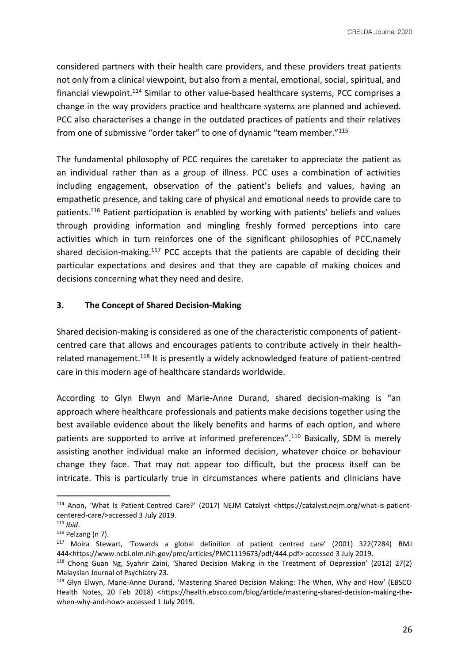considered partners with their health care providers, and these providers treat patients not only from a clinical viewpoint, but also from a mental, emotional, social, spiritual, and financial viewpoint.<sup>114</sup> Similar to other value-based healthcare systems, PCC comprises a change in the way providers practice and healthcare systems are planned and achieved. PCC also characterises a change in the outdated practices of patients and their relatives from one of submissive "order taker" to one of dynamic "team member."<sup>115</sup>

The fundamental philosophy of PCC requires the caretaker to appreciate the patient as an individual rather than as a group of illness. PCC uses a combination of activities including engagement, observation of the patient's beliefs and values, having an empathetic presence, and taking care of physical and emotional needs to provide care to patients.<sup>116</sup> Patient participation is enabled by working with patients' beliefs and values through providing information and mingling freshly formed perceptions into care activities which in turn reinforces one of the significant philosophies of PCC,namely shared decision-making.<sup>117</sup> PCC accepts that the patients are capable of deciding their particular expectations and desires and that they are capable of making choices and decisions concerning what they need and desire.

### **3. The Concept of Shared Decision-Making**

Shared decision-making is considered as one of the characteristic components of patientcentred care that allows and encourages patients to contribute actively in their healthrelated management.<sup>118</sup> It is presently a widely acknowledged feature of patient-centred care in this modern age of healthcare standards worldwide.

According to Glyn Elwyn and Marie-Anne Durand, shared decision-making is "an approach where healthcare professionals and patients make decisions together using the best available evidence about the likely benefits and harms of each option, and where patients are supported to arrive at informed preferences".<sup>119</sup> Basically, SDM is merely assisting another individual make an informed decision, whatever choice or behaviour change they face. That may not appear too difficult, but the process itself can be intricate. This is particularly true in circumstances where patients and clinicians have

<sup>114</sup> Anon, 'What Is Patient-Centred Care?' (2017) NEJM Catalyst <https://catalyst.nejm.org/what-is-patientcentered-care/>accessed 3 July 2019.

<sup>115</sup> *Ibid*.

 $116$  Pelzang (n 7).

<sup>117</sup> Moira Stewart, 'Towards a global definition of patient centred care' (2001) 322(7284) BMJ 444<https://www.ncbi.nlm.nih.gov/pmc/articles/PMC1119673/pdf/444.pdf> accessed 3 July 2019.

<sup>118</sup> Chong Guan Ng, Syahrir Zaini, 'Shared Decision Making in the Treatment of Depression' (2012) 27(2) Malaysian Journal of Psychiatry 23.

<sup>&</sup>lt;sup>119</sup> Glyn Elwyn, Marie-Anne Durand, 'Mastering Shared Decision Making: The When, Why and How' (EBSCO Health Notes, 20 Feb 2018) <https://health.ebsco.com/blog/article/mastering-shared-decision-making-thewhen-why-and-how> accessed 1 July 2019.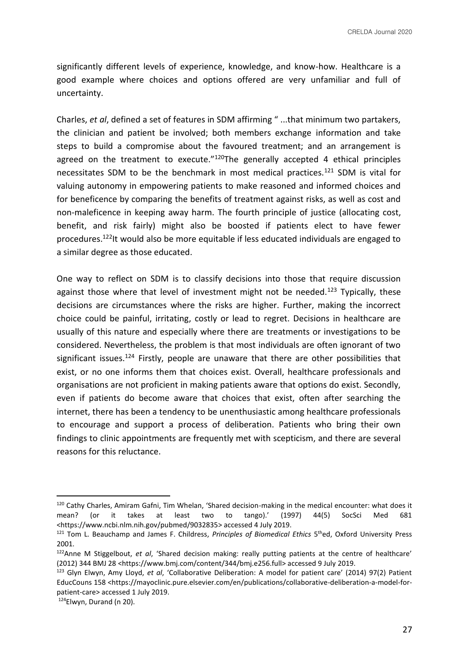significantly different levels of experience, knowledge, and know-how. Healthcare is a good example where choices and options offered are very unfamiliar and full of uncertainty.

Charles, *et al*, defined a set of features in SDM affirming " ...that minimum two partakers, the clinician and patient be involved; both members exchange information and take steps to build a compromise about the favoured treatment; and an arrangement is agreed on the treatment to execute."<sup>120</sup>The generally accepted 4 ethical principles necessitates SDM to be the benchmark in most medical practices.<sup>121</sup> SDM is vital for valuing autonomy in empowering patients to make reasoned and informed choices and for beneficence by comparing the benefits of treatment against risks, as well as cost and non-maleficence in keeping away harm. The fourth principle of justice (allocating cost, benefit, and risk fairly) might also be boosted if patients elect to have fewer procedures.<sup>122</sup>It would also be more equitable if less educated individuals are engaged to a similar degree as those educated.

One way to reflect on SDM is to classify decisions into those that require discussion against those where that level of investment might not be needed.<sup>123</sup> Typically, these decisions are circumstances where the risks are higher. Further, making the incorrect choice could be painful, irritating, costly or lead to regret. Decisions in healthcare are usually of this nature and especially where there are treatments or investigations to be considered. Nevertheless, the problem is that most individuals are often ignorant of two significant issues.<sup>124</sup> Firstly, people are unaware that there are other possibilities that exist, or no one informs them that choices exist. Overall, healthcare professionals and organisations are not proficient in making patients aware that options do exist. Secondly, even if patients do become aware that choices that exist, often after searching the internet, there has been a tendency to be unenthusiastic among healthcare professionals to encourage and support a process of deliberation. Patients who bring their own findings to clinic appointments are frequently met with scepticism, and there are several reasons for this reluctance.

<sup>120</sup> Cathy Charles, Amiram Gafni, Tim Whelan, 'Shared decision-making in the medical encounter: what does it mean? (or it takes at least two to tango).' (1997) 44(5) SocSci Med 681 <https://www.ncbi.nlm.nih.gov/pubmed/9032835> accessed 4 July 2019.

<sup>&</sup>lt;sup>121</sup> Tom L. Beauchamp and James F. Childress, *Principles of Biomedical Ethics* 5<sup>th</sup>ed, Oxford University Press 2001.

<sup>122</sup>Anne M Stiggelbout, *et al*, 'Shared decision making: really putting patients at the centre of healthcare' (2012) 344 BMJ 28 <https://www.bmj.com/content/344/bmj.e256.full> accessed 9 July 2019.

<sup>123</sup> Glyn Elwyn, Amy Lloyd, *et al*, 'Collaborative Deliberation: A model for patient care' (2014) 97(2) Patient EducCouns 158 <https://mayoclinic.pure.elsevier.com/en/publications/collaborative-deliberation-a-model-forpatient-care> accessed 1 July 2019.

<sup>124</sup>Elwyn, Durand (n 20).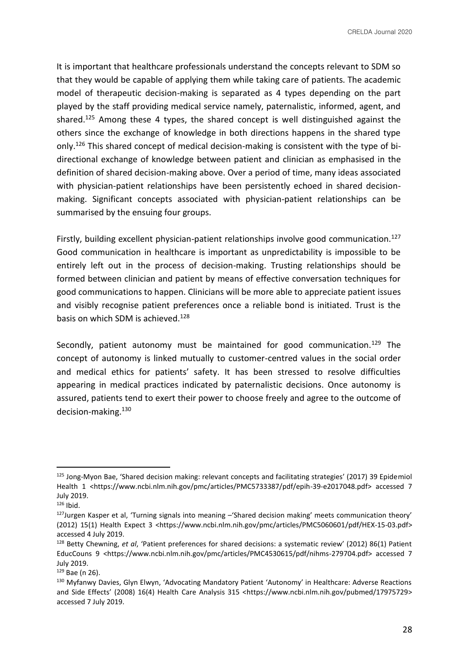It is important that healthcare professionals understand the concepts relevant to SDM so that they would be capable of applying them while taking care of patients. The academic model of therapeutic decision-making is separated as 4 types depending on the part played by the staff providing medical service namely, paternalistic, informed, agent, and shared.<sup>125</sup> Among these 4 types, the shared concept is well distinguished against the others since the exchange of knowledge in both directions happens in the shared type only.<sup>126</sup> This shared concept of medical decision-making is consistent with the type of bidirectional exchange of knowledge between patient and clinician as emphasised in the definition of shared decision-making above. Over a period of time, many ideas associated with physician-patient relationships have been persistently echoed in shared decisionmaking. Significant concepts associated with physician-patient relationships can be summarised by the ensuing four groups.

Firstly, building excellent physician-patient relationships involve good communication.<sup>127</sup> Good communication in healthcare is important as unpredictability is impossible to be entirely left out in the process of decision-making. Trusting relationships should be formed between clinician and patient by means of effective conversation techniques for good communications to happen. Clinicians will be more able to appreciate patient issues and visibly recognise patient preferences once a reliable bond is initiated. Trust is the basis on which SDM is achieved.<sup>128</sup>

Secondly, patient autonomy must be maintained for good communication. $129$  The concept of autonomy is linked mutually to customer-centred values in the social order and medical ethics for patients' safety. It has been stressed to resolve difficulties appearing in medical practices indicated by paternalistic decisions. Once autonomy is assured, patients tend to exert their power to choose freely and agree to the outcome of decision-making.<sup>130</sup>

<sup>&</sup>lt;sup>125</sup> Jong-Myon Bae, 'Shared decision making: relevant concepts and facilitating strategies' (2017) 39 Epidemiol Health 1 <https://www.ncbi.nlm.nih.gov/pmc/articles/PMC5733387/pdf/epih-39-e2017048.pdf> accessed 7 July 2019.

 $126$  Ibid.

 $127$ Jurgen Kasper et al, 'Turning signals into meaning  $-$ 'Shared decision making' meets communication theory' (2012) 15(1) Health Expect 3 <https://www.ncbi.nlm.nih.gov/pmc/articles/PMC5060601/pdf/HEX-15-03.pdf> accessed 4 July 2019.

<sup>128</sup> Betty Chewning, *et al*, 'Patient preferences for shared decisions: a systematic review' (2012) 86(1) Patient EducCouns 9 <https://www.ncbi.nlm.nih.gov/pmc/articles/PMC4530615/pdf/nihms-279704.pdf> accessed 7 July 2019.

<sup>129</sup> Bae (n 26).

<sup>130</sup> Myfanwy Davies, Glyn Elwyn, 'Advocating Mandatory Patient 'Autonomy' in Healthcare: Adverse Reactions and Side Effects' (2008) 16(4) Health Care Analysis 315 <https://www.ncbi.nlm.nih.gov/pubmed/17975729> accessed 7 July 2019.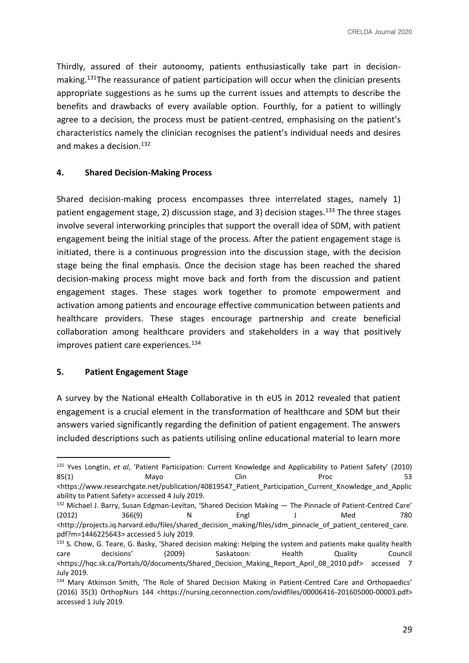Thirdly, assured of their autonomy, patients enthusiastically take part in decisionmaking.<sup>131</sup>The reassurance of patient participation will occur when the clinician presents appropriate suggestions as he sums up the current issues and attempts to describe the benefits and drawbacks of every available option. Fourthly, for a patient to willingly agree to a decision, the process must be patient-centred, emphasising on the patient's characteristics namely the clinician recognises the patient's individual needs and desires and makes a decision.<sup>132</sup>

## **4. Shared Decision-Making Process**

Shared decision-making process encompasses three interrelated stages, namely 1) patient engagement stage, 2) discussion stage, and 3) decision stages.<sup>133</sup> The three stages involve several interworking principles that support the overall idea of SDM, with patient engagement being the initial stage of the process. After the patient engagement stage is initiated, there is a continuous progression into the discussion stage, with the decision stage being the final emphasis. Once the decision stage has been reached the shared decision-making process might move back and forth from the discussion and patient engagement stages. These stages work together to promote empowerment and activation among patients and encourage effective communication between patients and healthcare providers. These stages encourage partnership and create beneficial collaboration among healthcare providers and stakeholders in a way that positively improves patient care experiences.<sup>134</sup>

#### **5. Patient Engagement Stage**

A survey by the National eHealth Collaborative in th eUS in 2012 revealed that patient engagement is a crucial element in the transformation of healthcare and SDM but their answers varied significantly regarding the definition of patient engagement. The answers included descriptions such as patients utilising online educational material to learn more

<sup>131</sup> Yves Longtin, *et al*, 'Patient Participation: Current Knowledge and Applicability to Patient Safety' (2010) 85(1) Mayo Clin Proc 53 <https://www.researchgate.net/publication/40819547\_Patient\_Participation\_Current\_Knowledge\_and\_Applic ability to Patient Safety> accessed 4 July 2019.

<sup>132</sup> Michael J. Barry, Susan Edgman-Levitan, 'Shared Decision Making — The Pinnacle of Patient-Centred Care' (2012) 366(9) N Engl J Med 780 <http://projects.iq.harvard.edu/files/shared\_decision\_making/files/sdm\_pinnacle\_of\_patient\_centered\_care. pdf?m=1446225643> accessed 5 July 2019.

<sup>&</sup>lt;sup>133</sup> S. Chow, G. Teare, G. Basky, 'Shared decision making: Helping the system and patients make quality health care decisions' (2009) Saskatoon: Health Quality Council <https://hqc.sk.ca/Portals/0/documents/Shared\_Decision\_Making\_Report\_April\_08\_2010.pdf> accessed 7 July 2019.

<sup>134</sup> Mary Atkinson Smith, 'The Role of Shared Decision Making in Patient-Centred Care and Orthopaedics' (2016) 35(3) OrthopNurs 144 <https://nursing.ceconnection.com/ovidfiles/00006416-201605000-00003.pdf> accessed 1 July 2019.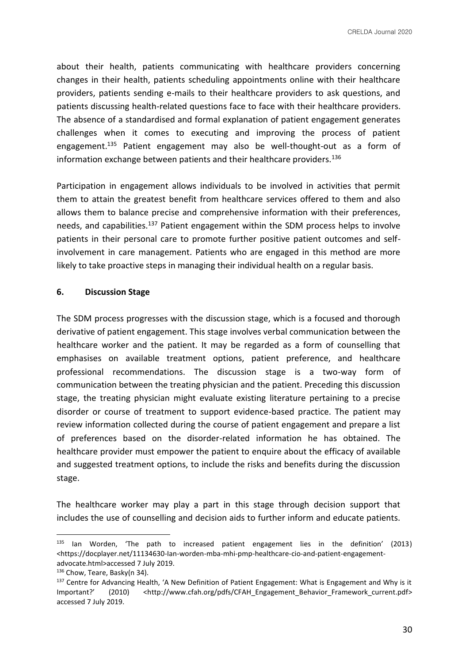about their health, patients communicating with healthcare providers concerning changes in their health, patients scheduling appointments online with their healthcare providers, patients sending e-mails to their healthcare providers to ask questions, and patients discussing health-related questions face to face with their healthcare providers. The absence of a standardised and formal explanation of patient engagement generates challenges when it comes to executing and improving the process of patient engagement.<sup>135</sup> Patient engagement may also be well-thought-out as a form of information exchange between patients and their healthcare providers.<sup>136</sup>

Participation in engagement allows individuals to be involved in activities that permit them to attain the greatest benefit from healthcare services offered to them and also allows them to balance precise and comprehensive information with their preferences, needs, and capabilities.<sup>137</sup> Patient engagement within the SDM process helps to involve patients in their personal care to promote further positive patient outcomes and selfinvolvement in care management. Patients who are engaged in this method are more likely to take proactive steps in managing their individual health on a regular basis.

### **6. Discussion Stage**

The SDM process progresses with the discussion stage, which is a focused and thorough derivative of patient engagement. This stage involves verbal communication between the healthcare worker and the patient. It may be regarded as a form of counselling that emphasises on available treatment options, patient preference, and healthcare professional recommendations. The discussion stage is a two-way form of communication between the treating physician and the patient. Preceding this discussion stage, the treating physician might evaluate existing literature pertaining to a precise disorder or course of treatment to support evidence-based practice. The patient may review information collected during the course of patient engagement and prepare a list of preferences based on the disorder-related information he has obtained. The healthcare provider must empower the patient to enquire about the efficacy of available and suggested treatment options, to include the risks and benefits during the discussion stage.

The healthcare worker may play a part in this stage through decision support that includes the use of counselling and decision aids to further inform and educate patients.

<sup>135</sup> Ian Worden, 'The path to increased patient engagement lies in the definition' (2013) <https://docplayer.net/11134630-Ian-worden-mba-mhi-pmp-healthcare-cio-and-patient-engagementadvocate.html>accessed 7 July 2019.

<sup>136</sup> Chow, Teare, Basky(n 34).

<sup>137</sup> Centre for Advancing Health, 'A New Definition of Patient Engagement: What is Engagement and Why is it Important?' (2010) <http://www.cfah.org/pdfs/CFAH\_Engagement\_Behavior\_Framework\_current.pdf> accessed 7 July 2019.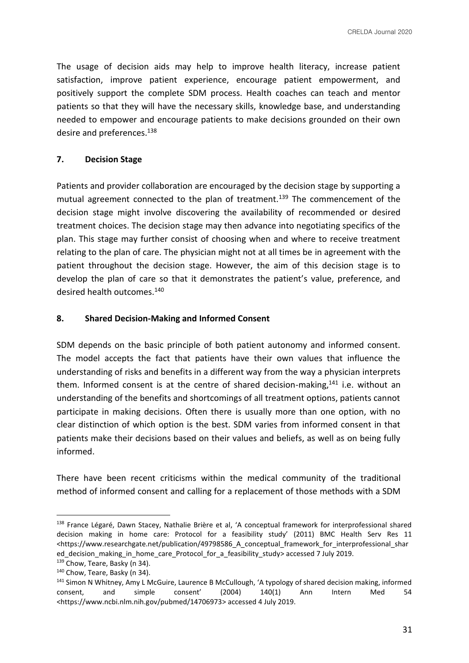The usage of decision aids may help to improve health literacy, increase patient satisfaction, improve patient experience, encourage patient empowerment, and positively support the complete SDM process. Health coaches can teach and mentor patients so that they will have the necessary skills, knowledge base, and understanding needed to empower and encourage patients to make decisions grounded on their own desire and preferences.<sup>138</sup>

# **7. Decision Stage**

Patients and provider collaboration are encouraged by the decision stage by supporting a mutual agreement connected to the plan of treatment.<sup>139</sup> The commencement of the decision stage might involve discovering the availability of recommended or desired treatment choices. The decision stage may then advance into negotiating specifics of the plan. This stage may further consist of choosing when and where to receive treatment relating to the plan of care. The physician might not at all times be in agreement with the patient throughout the decision stage. However, the aim of this decision stage is to develop the plan of care so that it demonstrates the patient's value, preference, and desired health outcomes.<sup>140</sup>

## **8. Shared Decision-Making and Informed Consent**

SDM depends on the basic principle of both patient autonomy and informed consent. The model accepts the fact that patients have their own values that influence the understanding of risks and benefits in a different way from the way a physician interprets them. Informed consent is at the centre of shared decision-making.<sup>141</sup> i.e. without an understanding of the benefits and shortcomings of all treatment options, patients cannot participate in making decisions. Often there is usually more than one option, with no clear distinction of which option is the best. SDM varies from informed consent in that patients make their decisions based on their values and beliefs, as well as on being fully informed.

There have been recent criticisms within the medical community of the traditional method of informed consent and calling for a replacement of those methods with a SDM

<sup>138</sup> France Légaré, Dawn Stacey, Nathalie Brière et al, 'A conceptual framework for interprofessional shared decision making in home care: Protocol for a feasibility study' (2011) BMC Health Serv Res 11 <https://www.researchgate.net/publication/49798586 A conceptual framework for interprofessional shar ed\_decision\_making\_in\_home\_care\_Protocol\_for\_a\_feasibility\_study> accessed 7 July 2019.

<sup>139</sup> Chow, Teare, Basky (n 34).

<sup>140</sup> Chow, Teare, Basky (n 34).

<sup>141</sup> Simon N Whitney, Amy L McGuire, Laurence B McCullough, 'A typology of shared decision making, informed consent, and simple consent' (2004) 140(1) Ann Intern Med 54 <https://www.ncbi.nlm.nih.gov/pubmed/14706973> accessed 4 July 2019.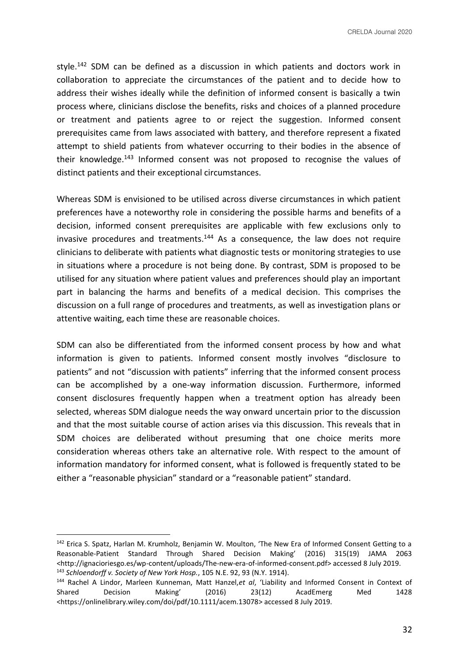style.<sup>142</sup> SDM can be defined as a discussion in which patients and doctors work in collaboration to appreciate the circumstances of the patient and to decide how to address their wishes ideally while the definition of informed consent is basically a twin process where, clinicians disclose the benefits, risks and choices of a planned procedure or treatment and patients agree to or reject the suggestion. Informed consent prerequisites came from laws associated with battery, and therefore represent a fixated attempt to shield patients from whatever occurring to their bodies in the absence of their knowledge.<sup>143</sup> Informed consent was not proposed to recognise the values of distinct patients and their exceptional circumstances.

Whereas SDM is envisioned to be utilised across diverse circumstances in which patient preferences have a noteworthy role in considering the possible harms and benefits of a decision, informed consent prerequisites are applicable with few exclusions only to invasive procedures and treatments. $144$  As a consequence, the law does not require clinicians to deliberate with patients what diagnostic tests or monitoring strategies to use in situations where a procedure is not being done. By contrast, SDM is proposed to be utilised for any situation where patient values and preferences should play an important part in balancing the harms and benefits of a medical decision. This comprises the discussion on a full range of procedures and treatments, as well as investigation plans or attentive waiting, each time these are reasonable choices.

SDM can also be differentiated from the informed consent process by how and what information is given to patients. Informed consent mostly involves "disclosure to patients" and not "discussion with patients" inferring that the informed consent process can be accomplished by a one-way information discussion. Furthermore, informed consent disclosures frequently happen when a treatment option has already been selected, whereas SDM dialogue needs the way onward uncertain prior to the discussion and that the most suitable course of action arises via this discussion. This reveals that in SDM choices are deliberated without presuming that one choice merits more consideration whereas others take an alternative role. With respect to the amount of information mandatory for informed consent, what is followed is frequently stated to be either a "reasonable physician" standard or a "reasonable patient" standard.

<sup>&</sup>lt;sup>142</sup> Erica S. Spatz, Harlan M. Krumholz, Benjamin W. Moulton, 'The New Era of Informed Consent Getting to a Reasonable-Patient Standard Through Shared Decision Making' (2016) 315(19) JAMA 2063 <http://ignacioriesgo.es/wp-content/uploads/The-new-era-of-informed-consent.pdf> accessed 8 July 2019. <sup>143</sup> *Schloendorff v. Society of New York Hosp.*, 105 N.E. 92, 93 (N.Y. 1914).

<sup>144</sup> Rachel A Lindor, Marleen Kunneman, Matt Hanzel,*et al*, 'Liability and Informed Consent in Context of Shared Decision Making' (2016) 23(12) AcadEmerg Med 1428 <https://onlinelibrary.wiley.com/doi/pdf/10.1111/acem.13078> accessed 8 July 2019.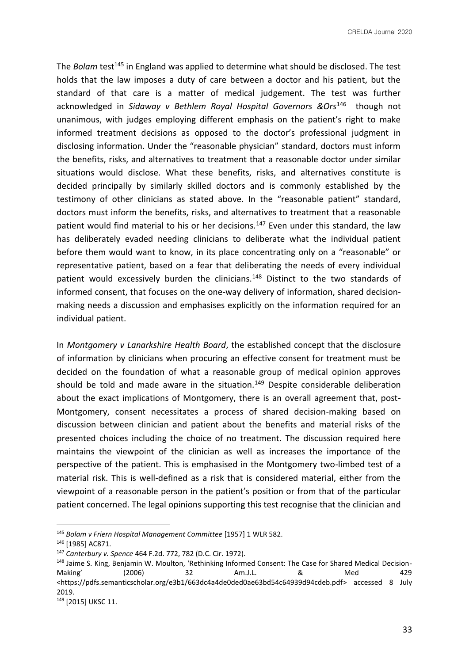The *Bolam* test<sup>145</sup> in England was applied to determine what should be disclosed. The test holds that the law imposes a duty of care between a doctor and his patient, but the standard of that care is a matter of medical judgement. The test was further acknowledged in *Sidaway v Bethlem Royal Hospital Governors &Ors*<sup>146</sup> though not unanimous, with judges employing different emphasis on the patient's right to make informed treatment decisions as opposed to the doctor's professional judgment in disclosing information. Under the "reasonable physician" standard, doctors must inform the benefits, risks, and alternatives to treatment that a reasonable doctor under similar situations would disclose. What these benefits, risks, and alternatives constitute is decided principally by similarly skilled doctors and is commonly established by the testimony of other clinicians as stated above. In the "reasonable patient" standard, doctors must inform the benefits, risks, and alternatives to treatment that a reasonable patient would find material to his or her decisions.<sup>147</sup> Even under this standard, the law has deliberately evaded needing clinicians to deliberate what the individual patient before them would want to know, in its place concentrating only on a "reasonable" or representative patient, based on a fear that deliberating the needs of every individual patient would excessively burden the clinicians.<sup>148</sup> Distinct to the two standards of informed consent, that focuses on the one-way delivery of information, shared decisionmaking needs a discussion and emphasises explicitly on the information required for an individual patient.

In *Montgomery v Lanarkshire Health Board*, the established concept that the disclosure of information by clinicians when procuring an effective consent for treatment must be decided on the foundation of what a reasonable group of medical opinion approves should be told and made aware in the situation.<sup>149</sup> Despite considerable deliberation about the exact implications of Montgomery, there is an overall agreement that, post-Montgomery, consent necessitates a process of shared decision-making based on discussion between clinician and patient about the benefits and material risks of the presented choices including the choice of no treatment. The discussion required here maintains the viewpoint of the clinician as well as increases the importance of the perspective of the patient. This is emphasised in the Montgomery two-limbed test of a material risk. This is well-defined as a risk that is considered material, either from the viewpoint of a reasonable person in the patient's position or from that of the particular patient concerned. The legal opinions supporting this test recognise that the clinician and

<sup>145</sup> *Bolam v Friern Hospital Management Committee* [1957] 1 WLR 582.

<sup>146</sup> [1985] AC871.

<sup>147</sup> *Canterbury v. Spence* 464 F.2d. 772, 782 (D.C. Cir. 1972).

<sup>148</sup> Jaime S. King, Benjamin W. Moulton, 'Rethinking Informed Consent: The Case for Shared Medical Decision-Making' (2006) 32 Am.J.L. & Med 429 <https://pdfs.semanticscholar.org/e3b1/663dc4a4de0ded0ae63bd54c64939d94cdeb.pdf> accessed 8 July 2019.

<sup>149</sup> [2015] UKSC 11.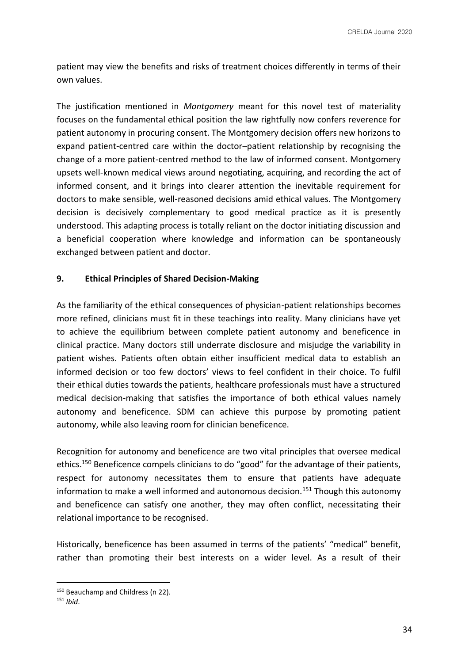patient may view the benefits and risks of treatment choices differently in terms of their own values.

The justification mentioned in *Montgomery* meant for this novel test of materiality focuses on the fundamental ethical position the law rightfully now confers reverence for patient autonomy in procuring consent. The Montgomery decision offers new horizons to expand patient-centred care within the doctor–patient relationship by recognising the change of a more patient-centred method to the law of informed consent. Montgomery upsets well-known medical views around negotiating, acquiring, and recording the act of informed consent, and it brings into clearer attention the inevitable requirement for doctors to make sensible, well-reasoned decisions amid ethical values. The Montgomery decision is decisively complementary to good medical practice as it is presently understood. This adapting process is totally reliant on the doctor initiating discussion and a beneficial cooperation where knowledge and information can be spontaneously exchanged between patient and doctor.

### **9. Ethical Principles of Shared Decision-Making**

As the familiarity of the ethical consequences of physician-patient relationships becomes more refined, clinicians must fit in these teachings into reality. Many clinicians have yet to achieve the equilibrium between complete patient autonomy and beneficence in clinical practice. Many doctors still underrate disclosure and misjudge the variability in patient wishes. Patients often obtain either insufficient medical data to establish an informed decision or too few doctors' views to feel confident in their choice. To fulfil their ethical duties towards the patients, healthcare professionals must have a structured medical decision-making that satisfies the importance of both ethical values namely autonomy and beneficence. SDM can achieve this purpose by promoting patient autonomy, while also leaving room for clinician beneficence.

Recognition for autonomy and beneficence are two vital principles that oversee medical ethics.<sup>150</sup> Beneficence compels clinicians to do "good" for the advantage of their patients, respect for autonomy necessitates them to ensure that patients have adequate information to make a well informed and autonomous decision.<sup>151</sup> Though this autonomy and beneficence can satisfy one another, they may often conflict, necessitating their relational importance to be recognised.

Historically, beneficence has been assumed in terms of the patients' "medical" benefit, rather than promoting their best interests on a wider level. As a result of their

<sup>150</sup> Beauchamp and Childress (n 22).

<sup>151</sup> *Ibid*.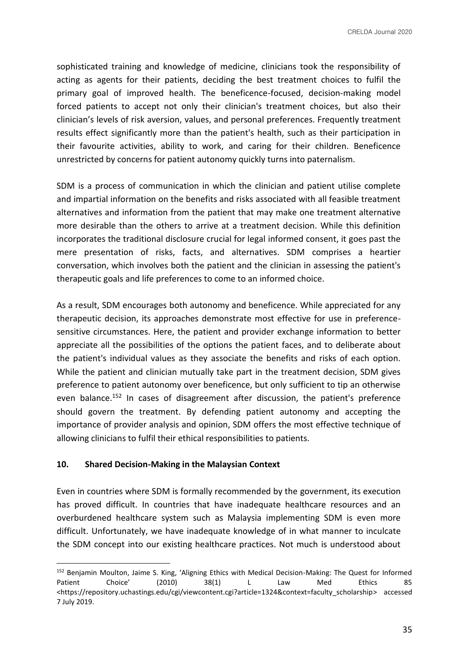sophisticated training and knowledge of medicine, clinicians took the responsibility of acting as agents for their patients, deciding the best treatment choices to fulfil the primary goal of improved health. The beneficence-focused, decision-making model forced patients to accept not only their clinician's treatment choices, but also their clinician's levels of risk aversion, values, and personal preferences. Frequently treatment results effect significantly more than the patient's health, such as their participation in their favourite activities, ability to work, and caring for their children. Beneficence unrestricted by concerns for patient autonomy quickly turns into paternalism.

SDM is a process of communication in which the clinician and patient utilise complete and impartial information on the benefits and risks associated with all feasible treatment alternatives and information from the patient that may make one treatment alternative more desirable than the others to arrive at a treatment decision. While this definition incorporates the traditional disclosure crucial for legal informed consent, it goes past the mere presentation of risks, facts, and alternatives. SDM comprises a heartier conversation, which involves both the patient and the clinician in assessing the patient's therapeutic goals and life preferences to come to an informed choice.

As a result, SDM encourages both autonomy and beneficence. While appreciated for any therapeutic decision, its approaches demonstrate most effective for use in preferencesensitive circumstances. Here, the patient and provider exchange information to better appreciate all the possibilities of the options the patient faces, and to deliberate about the patient's individual values as they associate the benefits and risks of each option. While the patient and clinician mutually take part in the treatment decision, SDM gives preference to patient autonomy over beneficence, but only sufficient to tip an otherwise even balance.<sup>152</sup> In cases of disagreement after discussion, the patient's preference should govern the treatment. By defending patient autonomy and accepting the importance of provider analysis and opinion, SDM offers the most effective technique of allowing clinicians to fulfil their ethical responsibilities to patients.

## **10. Shared Decision-Making in the Malaysian Context**

Even in countries where SDM is formally recommended by the government, its execution has proved difficult. In countries that have inadequate healthcare resources and an overburdened healthcare system such as Malaysia implementing SDM is even more difficult. Unfortunately, we have inadequate knowledge of in what manner to inculcate the SDM concept into our existing healthcare practices. Not much is understood about

<sup>152</sup> Benjamin Moulton, Jaime S. King, 'Aligning Ethics with Medical Decision-Making: The Quest for Informed Patient Choice' (2010) 38(1) L Law Med Ethics 85 <https://repository.uchastings.edu/cgi/viewcontent.cgi?article=1324&context=faculty\_scholarship> accessed 7 July 2019.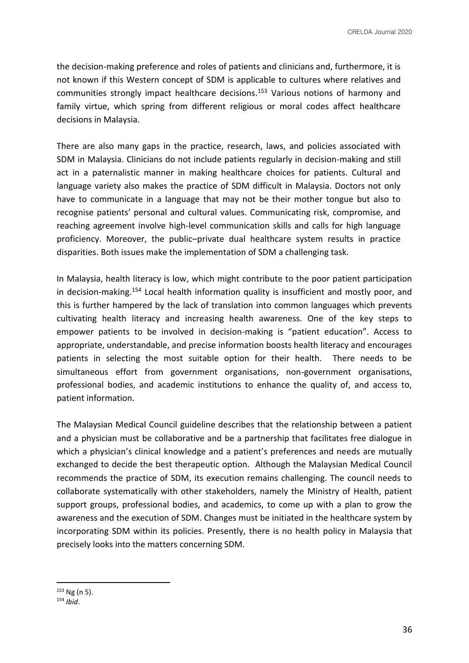the decision-making preference and roles of patients and clinicians and, furthermore, it is not known if this Western concept of SDM is applicable to cultures where relatives and communities strongly impact healthcare decisions.<sup>153</sup> Various notions of harmony and family virtue, which spring from different religious or moral codes affect healthcare decisions in Malaysia.

There are also many gaps in the practice, research, laws, and policies associated with SDM in Malaysia. Clinicians do not include patients regularly in decision-making and still act in a paternalistic manner in making healthcare choices for patients. Cultural and language variety also makes the practice of SDM difficult in Malaysia. Doctors not only have to communicate in a language that may not be their mother tongue but also to recognise patients' personal and cultural values. Communicating risk, compromise, and reaching agreement involve high-level communication skills and calls for high language proficiency. Moreover, the public–private dual healthcare system results in practice disparities. Both issues make the implementation of SDM a challenging task.

In Malaysia, health literacy is low, which might contribute to the poor patient participation in decision-making.<sup>154</sup> Local health information quality is insufficient and mostly poor, and this is further hampered by the lack of translation into common languages which prevents cultivating health literacy and increasing health awareness. One of the key steps to empower patients to be involved in decision-making is "patient education". Access to appropriate, understandable, and precise information boosts health literacy and encourages patients in selecting the most suitable option for their health. There needs to be simultaneous effort from government organisations, non-government organisations, professional bodies, and academic institutions to enhance the quality of, and access to, patient information.

The Malaysian Medical Council guideline describes that the relationship between a patient and a physician must be collaborative and be a partnership that facilitates free dialogue in which a physician's clinical knowledge and a patient's preferences and needs are mutually exchanged to decide the best therapeutic option. Although the Malaysian Medical Council recommends the practice of SDM, its execution remains challenging. The council needs to collaborate systematically with other stakeholders, namely the Ministry of Health, patient support groups, professional bodies, and academics, to come up with a plan to grow the awareness and the execution of SDM. Changes must be initiated in the healthcare system by incorporating SDM within its policies. Presently, there is no health policy in Malaysia that precisely looks into the matters concerning SDM.

 $153$  Ng (n 5).

<sup>154</sup> *Ibid*.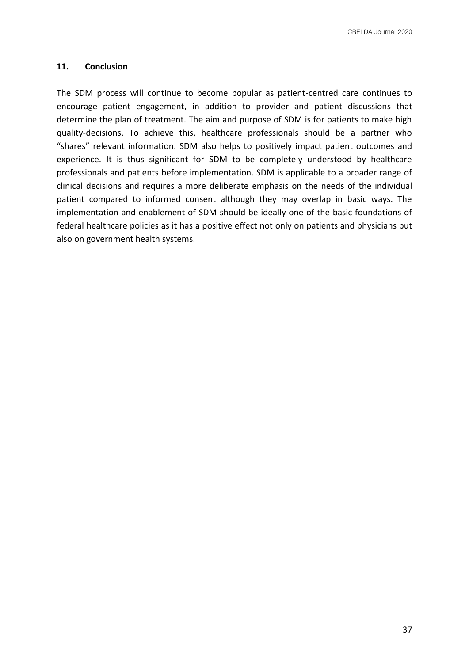## **11. Conclusion**

The SDM process will continue to become popular as patient-centred care continues to encourage patient engagement, in addition to provider and patient discussions that determine the plan of treatment. The aim and purpose of SDM is for patients to make high quality-decisions. To achieve this, healthcare professionals should be a partner who "shares" relevant information. SDM also helps to positively impact patient outcomes and experience. It is thus significant for SDM to be completely understood by healthcare professionals and patients before implementation. SDM is applicable to a broader range of clinical decisions and requires a more deliberate emphasis on the needs of the individual patient compared to informed consent although they may overlap in basic ways. The implementation and enablement of SDM should be ideally one of the basic foundations of federal healthcare policies as it has a positive effect not only on patients and physicians but also on government health systems.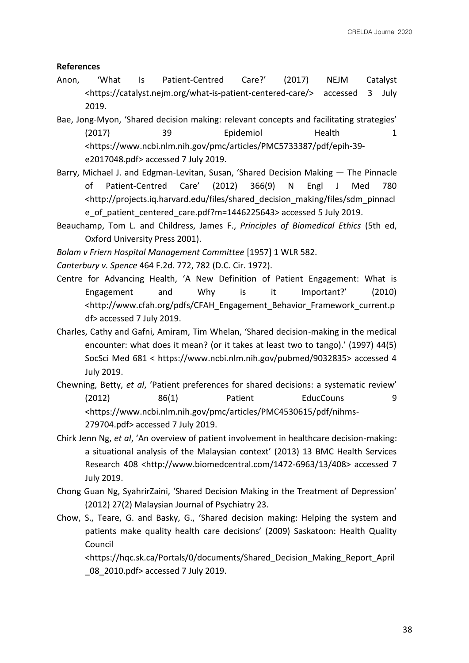### **References**

- Anon, 'What Is Patient-Centred Care?' (2017) NEJM Catalyst <https://catalyst.nejm.org/what-is-patient-centered-care/> accessed 3 July 2019.
- Bae, Jong-Myon, 'Shared decision making: relevant concepts and facilitating strategies' (2017) 39 Epidemiol Health 1 <https://www.ncbi.nlm.nih.gov/pmc/articles/PMC5733387/pdf/epih-39 e2017048.pdf> accessed 7 July 2019.
- Barry, Michael J. and Edgman-Levitan, Susan, 'Shared Decision Making The Pinnacle of Patient-Centred Care' (2012) 366(9) N Engl J Med 780 <http://projects.iq.harvard.edu/files/shared\_decision\_making/files/sdm\_pinnacl e of patient centered care.pdf?m=1446225643> accessed 5 July 2019.
- Beauchamp, Tom L. and Childress, James F., *Principles of Biomedical Ethics* (5th ed, Oxford University Press 2001).
- *Bolam v Friern Hospital Management Committee* [1957] 1 WLR 582.
- *Canterbury v. Spence* 464 F.2d. 772, 782 (D.C. Cir. 1972).
- Centre for Advancing Health, 'A New Definition of Patient Engagement: What is Engagement and Why is it Important?' (2010) <http://www.cfah.org/pdfs/CFAH\_Engagement\_Behavior\_Framework\_current.p df> accessed 7 July 2019.
- Charles, Cathy and Gafni, Amiram, Tim Whelan, 'Shared decision-making in the medical encounter: what does it mean? (or it takes at least two to tango).' (1997) 44(5) SocSci Med 681 < https://www.ncbi.nlm.nih.gov/pubmed/9032835> accessed 4 July 2019.
- Chewning, Betty, *et al*, 'Patient preferences for shared decisions: a systematic review' (2012) 86(1) Patient EducCouns 9 <https://www.ncbi.nlm.nih.gov/pmc/articles/PMC4530615/pdf/nihms-279704.pdf> accessed 7 July 2019.
- Chirk Jenn Ng, *et al*, 'An overview of patient involvement in healthcare decision-making: a situational analysis of the Malaysian context' (2013) 13 BMC Health Services Research 408 <http://www.biomedcentral.com/1472-6963/13/408> accessed 7 July 2019.
- Chong Guan Ng, SyahrirZaini, 'Shared Decision Making in the Treatment of Depression' (2012) 27(2) Malaysian Journal of Psychiatry 23.
- Chow, S., Teare, G. and Basky, G., 'Shared decision making: Helping the system and patients make quality health care decisions' (2009) Saskatoon: Health Quality Council

<https://hqc.sk.ca/Portals/0/documents/Shared\_Decision\_Making\_Report\_April \_08\_2010.pdf> accessed 7 July 2019.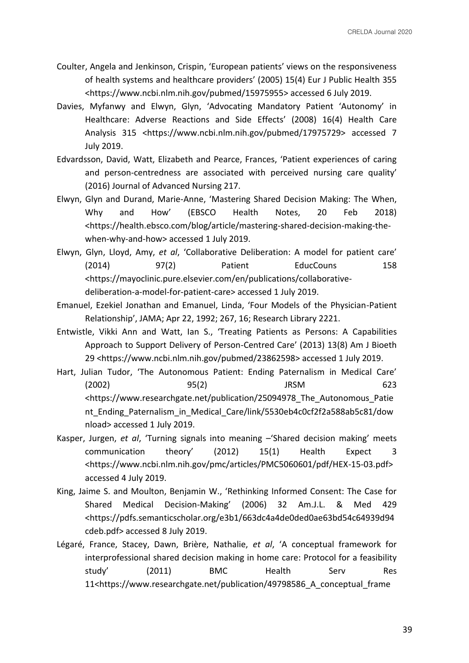- Coulter, Angela and Jenkinson, Crispin, 'European patients' views on the responsiveness of health systems and healthcare providers' (2005) 15(4) Eur J Public Health 355 <https://www.ncbi.nlm.nih.gov/pubmed/15975955> accessed 6 July 2019.
- Davies, Myfanwy and Elwyn, Glyn, 'Advocating Mandatory Patient 'Autonomy' in Healthcare: Adverse Reactions and Side Effects' (2008) 16(4) Health Care Analysis 315 <https://www.ncbi.nlm.nih.gov/pubmed/17975729> accessed 7 July 2019.
- Edvardsson, David, Watt, Elizabeth and Pearce, Frances, 'Patient experiences of caring and person-centredness are associated with perceived nursing care quality' (2016) Journal of Advanced Nursing 217.
- Elwyn, Glyn and Durand, Marie-Anne, 'Mastering Shared Decision Making: The When, Why and How' (EBSCO Health Notes, 20 Feb 2018) <https://health.ebsco.com/blog/article/mastering-shared-decision-making-thewhen-why-and-how> accessed 1 July 2019.
- Elwyn, Glyn, Lloyd, Amy, *et al*, 'Collaborative Deliberation: A model for patient care' (2014) 97(2) Patient EducCouns 158 <https://mayoclinic.pure.elsevier.com/en/publications/collaborativedeliberation-a-model-for-patient-care> accessed 1 July 2019.
- Emanuel, Ezekiel Jonathan and Emanuel, Linda, 'Four Models of the Physician-Patient Relationship', JAMA; Apr 22, 1992; 267, 16; Research Library 2221.
- Entwistle, Vikki Ann and Watt, Ian S., 'Treating Patients as Persons: A Capabilities Approach to Support Delivery of Person-Centred Care' (2013) 13(8) Am J Bioeth 29 <https://www.ncbi.nlm.nih.gov/pubmed/23862598> accessed 1 July 2019.
- Hart, Julian Tudor, 'The Autonomous Patient: Ending Paternalism in Medical Care' (2002) 95(2) JRSM 623 <https://www.researchgate.net/publication/25094978\_The\_Autonomous\_Patie nt Ending Paternalism in Medical Care/link/5530eb4c0cf2f2a588ab5c81/dow nload> accessed 1 July 2019.
- Kasper, Jurgen, *et al*, 'Turning signals into meaning –'Shared decision making' meets communication theory' (2012) 15(1) Health Expect 3 <https://www.ncbi.nlm.nih.gov/pmc/articles/PMC5060601/pdf/HEX-15-03.pdf> accessed 4 July 2019.
- King, Jaime S. and Moulton, Benjamin W., 'Rethinking Informed Consent: The Case for Shared Medical Decision-Making' (2006) 32 Am.J.L. & Med 429 <https://pdfs.semanticscholar.org/e3b1/663dc4a4de0ded0ae63bd54c64939d94 cdeb.pdf> accessed 8 July 2019.
- Légaré, France, Stacey, Dawn, Brière, Nathalie, *et al*, 'A conceptual framework for interprofessional shared decision making in home care: Protocol for a feasibility study' (2011) BMC Health Serv Res 11<https://www.researchgate.net/publication/49798586\_A\_conceptual\_frame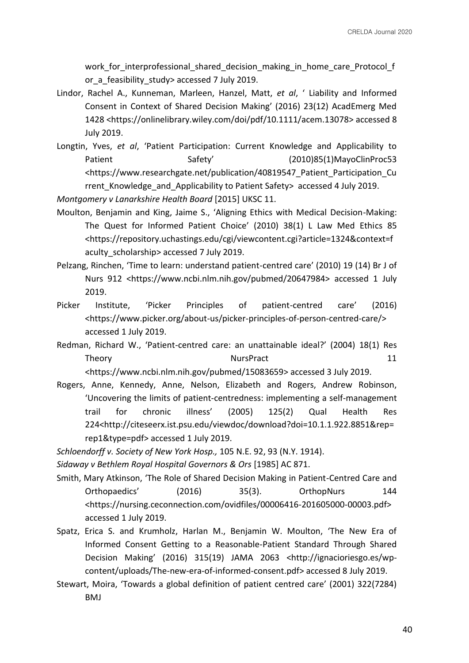work for interprofessional shared decision making in home care Protocol f or a feasibility study> accessed 7 July 2019.

- Lindor, Rachel A., Kunneman, Marleen, Hanzel, Matt, *et al*, ' Liability and Informed Consent in Context of Shared Decision Making' (2016) 23(12) AcadEmerg Med 1428 <https://onlinelibrary.wiley.com/doi/pdf/10.1111/acem.13078> accessed 8 July 2019.
- Longtin, Yves, *et al*, 'Patient Participation: Current Knowledge and Applicability to Patient Safety' (2010)85(1)MayoClinProc53 <https://www.researchgate.net/publication/40819547\_Patient\_Participation\_Cu rrent Knowledge and Applicability to Patient Safety> accessed 4 July 2019.

*Montgomery v Lanarkshire Health Board* [2015] UKSC 11.

- Moulton, Benjamin and King, Jaime S., 'Aligning Ethics with Medical Decision-Making: The Quest for Informed Patient Choice' (2010) 38(1) L Law Med Ethics 85 <https://repository.uchastings.edu/cgi/viewcontent.cgi?article=1324&context=f aculty scholarship> accessed 7 July 2019.
- Pelzang, Rinchen, 'Time to learn: understand patient-centred care' (2010) 19 (14) Br J of Nurs 912 <https://www.ncbi.nlm.nih.gov/pubmed/20647984> accessed 1 July 2019.
- Picker Institute, 'Picker Principles of patient-centred care' (2016) <https://www.picker.org/about-us/picker-principles-of-person-centred-care/> accessed 1 July 2019.
- Redman, Richard W., 'Patient-centred care: an unattainable ideal?' (2004) 18(1) Res Theory 11 **NursPract** 21

<https://www.ncbi.nlm.nih.gov/pubmed/15083659> accessed 3 July 2019.

Rogers, Anne, Kennedy, Anne, Nelson, Elizabeth and Rogers, Andrew Robinson, 'Uncovering the limits of patient-centredness: implementing a self-management trail for chronic illness' (2005) 125(2) Qual Health Res 224<http://citeseerx.ist.psu.edu/viewdoc/download?doi=10.1.1.922.8851&rep= rep1&type=pdf> accessed 1 July 2019.

*Schloendorff v. Society of New York Hosp.,* 105 N.E. 92, 93 (N.Y. 1914).

*Sidaway v Bethlem Royal Hospital Governors & Ors* [1985] AC 871.

- Smith, Mary Atkinson, 'The Role of Shared Decision Making in Patient-Centred Care and Orthopaedics' (2016) 35(3). OrthopNurs 144 <https://nursing.ceconnection.com/ovidfiles/00006416-201605000-00003.pdf> accessed 1 July 2019.
- Spatz, Erica S. and Krumholz, Harlan M., Benjamin W. Moulton, 'The New Era of Informed Consent Getting to a Reasonable-Patient Standard Through Shared Decision Making' (2016) 315(19) JAMA 2063 <http://ignacioriesgo.es/wpcontent/uploads/The-new-era-of-informed-consent.pdf> accessed 8 July 2019.
- Stewart, Moira, 'Towards a global definition of patient centred care' (2001) 322(7284) BMJ